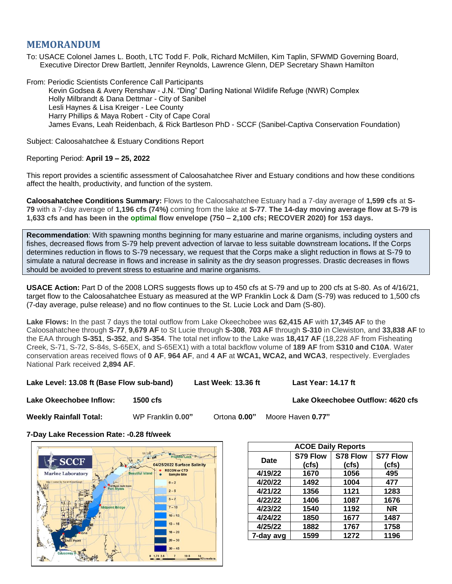# **MEMORANDUM**

To: USACE Colonel James L. Booth, LTC Todd F. Polk, Richard McMillen, Kim Taplin, SFWMD Governing Board, Executive Director Drew Bartlett, Jennifer Reynolds, Lawrence Glenn, DEP Secretary Shawn Hamilton

From: Periodic Scientists Conference Call Participants Kevin Godsea & Avery Renshaw - J.N. "Ding" Darling National Wildlife Refuge (NWR) Complex Holly Milbrandt & Dana Dettmar - City of Sanibel Lesli Haynes & Lisa Kreiger - Lee County Harry Phillips & Maya Robert - City of Cape Coral James Evans, Leah Reidenbach, & Rick Bartleson PhD - SCCF (Sanibel-Captiva Conservation Foundation)

Subject: Caloosahatchee & Estuary Conditions Report

# Reporting Period: **April 19 – 25, 2022**

This report provides a scientific assessment of Caloosahatchee River and Estuary conditions and how these conditions affect the health, productivity, and function of the system.

**Caloosahatchee Conditions Summary:** Flows to the Caloosahatchee Estuary had a 7-day average of **1,599 cfs** at **S-79** with a 7-day average of **1,196 cfs (74%)** coming from the lake at **S-77**. **The 14-day moving average flow at S-79 is 1,633 cfs and has been in the optimal flow envelope (750 – 2,100 cfs; RECOVER 2020) for 153 days.**

**Recommendation**: With spawning months beginning for many estuarine and marine organisms, including oysters and fishes, decreased flows from S-79 help prevent advection of larvae to less suitable downstream locations**.** If the Corps determines reduction in flows to S-79 necessary, we request that the Corps make a slight reduction in flows at S-79 to simulate a natural decrease in flows and increase in salinity as the dry season progresses. Drastic decreases in flows should be avoided to prevent stress to estuarine and marine organisms.

**USACE Action:** Part D of the 2008 LORS suggests flows up to 450 cfs at S-79 and up to 200 cfs at S-80. As of 4/16/21, target flow to the Caloosahatchee Estuary as measured at the WP Franklin Lock & Dam (S-79) was reduced to 1,500 cfs (7-day average, pulse release) and no flow continues to the St. Lucie Lock and Dam (S-80).

**Lake Flows:** In the past 7 days the total outflow from Lake Okeechobee was **62,415 AF** with **17,345 AF** to the Caloosahatchee through **S-77**, **9,679 AF** to St Lucie through **S-308**, **703 AF** through **S-310** in Clewiston, and **33,838 AF** to the EAA through **S-351**, **S-352**, and **S-354**. The total net inflow to the Lake was **18,417 AF** (18,228 AF from Fisheating Creek, S-71, S-72, S-84s, S-65EX, and S-65EX1) with a total backflow volume of **189 AF** from **S310 and C10A**. Water conservation areas received flows of **0 AF**, **964 AF**, and **4 AF** at **WCA1, WCA2, and WCA3**, respectively. Everglades National Park received **2,894 AF**.

**Lake Level: 13.08 ft (Base Flow sub-band) Last Week**: **13.36 ft Last Year: 14.17 ft**

**Lake Okeechobee Inflow: 1500 cfs Lake Okeechobee Outflow: 4620 cfs**

**Weekly Rainfall Total:** WP Franklin **0.00"** Ortona **0.00"** Moore Haven **0.77"**

**7-Day Lake Recession Rate: -0.28 ft/week**



| <b>ACOE Daily Reports</b> |          |          |           |  |  |  |
|---------------------------|----------|----------|-----------|--|--|--|
| Date                      | S79 Flow | S78 Flow | S77 Flow  |  |  |  |
|                           | (cfs)    | (cfs)    | (cts)     |  |  |  |
| 4/19/22                   | 1670     | 1056     | 495       |  |  |  |
| 4/20/22                   | 1492     | 1004     | 477       |  |  |  |
| 4/21/22                   | 1356     | 1121     | 1283      |  |  |  |
| 4/22/22                   | 1406     | 1087     | 1676      |  |  |  |
| 4/23/22                   | 1540     | 1192     | <b>NR</b> |  |  |  |
| 4/24/22                   | 1850     | 1677     | 1487      |  |  |  |
| 4/25/22                   | 1882     | 1767     | 1758      |  |  |  |
| 7-day avg                 | 1599     | 1272     | 1196      |  |  |  |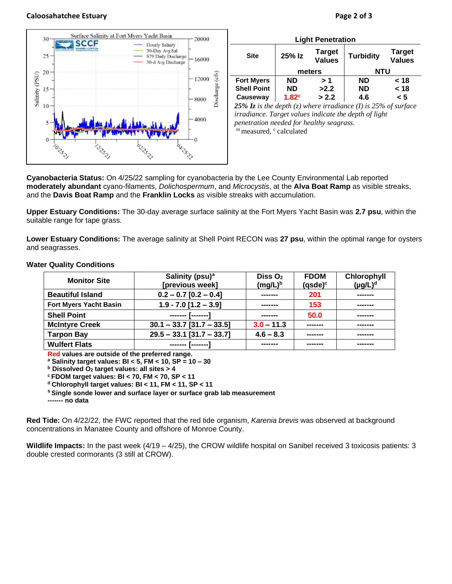### **Caloosahatchee Estuary Page 2 of 3**



| <b>Light Penetration</b>                                             |                   |                                |                  |                                |  |  |  |
|----------------------------------------------------------------------|-------------------|--------------------------------|------------------|--------------------------------|--|--|--|
| <b>Site</b>                                                          | 25% Iz            | <b>Target</b><br><b>Values</b> | <b>Turbidity</b> | <b>Target</b><br><b>Values</b> |  |  |  |
|                                                                      | meters            |                                | NTU              |                                |  |  |  |
| <b>Fort Myers</b>                                                    | <b>ND</b>         | > 1                            | <b>ND</b>        | < 18                           |  |  |  |
| <b>Shell Point</b>                                                   | <b>ND</b>         | >2.2                           | <b>ND</b>        | < 18                           |  |  |  |
| Causeway                                                             | 1.82 <sup>c</sup> | > 2.2                          | 4.6              | < 5                            |  |  |  |
| $25\%$ I= is the depth (=) where impedience (I) is $25\%$ of surface |                   |                                |                  |                                |  |  |  |

*25% Iz is the depth (z) where irradiance (I) is 25% of surface irradiance. Target values indicate the depth of light penetration needed for healthy seagrass.* m measured, c calculated

**Cyanobacteria Status:** On 4/25/22 sampling for cyanobacteria by the Lee County Environmental Lab reported **moderately abundant** cyano-filaments, *Dolichospermum*, and *Microcystis*, at the **Alva Boat Ramp** as visible streaks, and the **Davis Boat Ramp** and the **Franklin Locks** as visible streaks with accumulation.

**Upper Estuary Conditions:** The 30-day average surface salinity at the Fort Myers Yacht Basin was **2.7 psu**, within the suitable range for tape grass.

**Lower Estuary Conditions:** The average salinity at Shell Point RECON was **27 psu**, within the optimal range for oysters and seagrasses.

| <b>Monitor Site</b>           | Salinity (psu) <sup>a</sup> | Diss $O2$    | <b>FDOM</b> | Chlorophyll   |
|-------------------------------|-----------------------------|--------------|-------------|---------------|
|                               | [previous week]             | $(mg/L)^b$   | $(gsde)^c$  | $(\mu g/L)^d$ |
| <b>Beautiful Island</b>       | $0.2 - 0.7$ [0.2 - 0.4]     | -------      | 201         |               |
| <b>Fort Myers Yacht Basin</b> | $1.9 - 7.0$ [1.2 - 3.9]     | -------      | 153         | -------       |
| <b>Shell Point</b>            | -------- [--------]         | -------      | 50.0        | -------       |
| <b>McIntyre Creek</b>         | $30.1 - 33.7$ [31.7 - 33.5] | $3.0 - 11.3$ | --------    |               |
| <b>Tarpon Bay</b>             | $29.5 - 33.1$ [31.7 - 33.7] | $4.6 - 8.3$  | -------     |               |
| <b>Wulfert Flats</b>          |                             | --------     | -------     | -------       |

#### **Water Quality Conditions**

**Red values are outside of the preferred range.**

**<sup>a</sup> Salinity target values: BI < 5, FM < 10, SP = 10 – 30**

**<sup>b</sup> Dissolved O<sup>2</sup> target values: all sites > 4**

**<sup>c</sup> FDOM target values: BI < 70, FM < 70, SP < 11**

**<sup>d</sup> Chlorophyll target values: BI < 11, FM < 11, SP < 11** 

**<sup>s</sup> Single sonde lower and surface layer or surface grab lab measurement**

**------- no data**

**Red Tide:** On 4/22/22, the FWC reported that the red tide organism, *Karenia brevis* was observed at background concentrations in Manatee County and offshore of Monroe County.

**Wildlife Impacts:** In the past week (4/19 – 4/25), the CROW wildlife hospital on Sanibel received 3 toxicosis patients: 3 double crested cormorants (3 still at CROW).